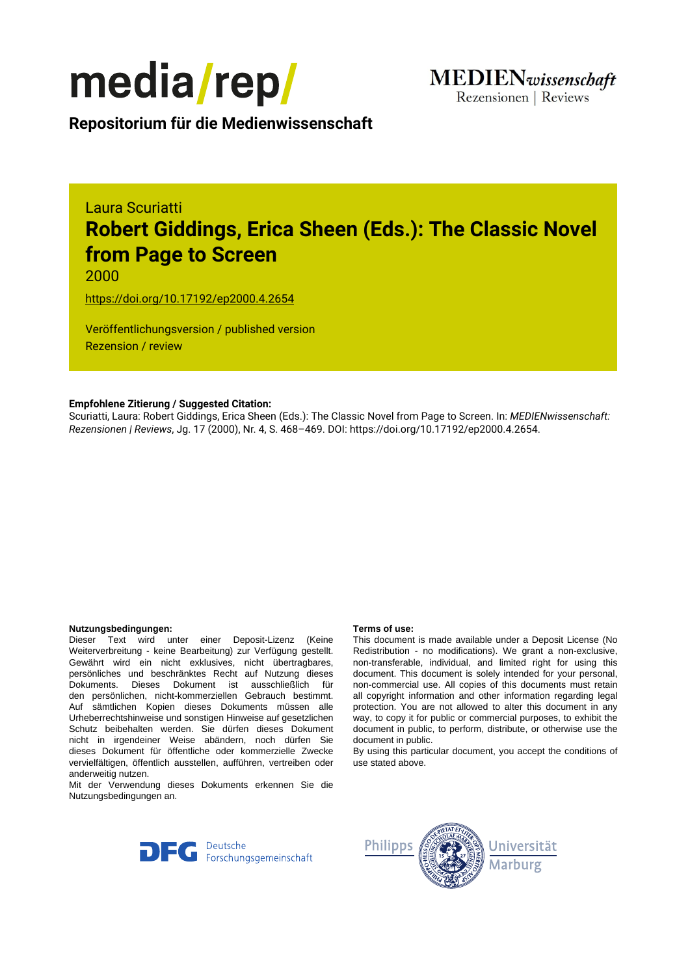

**Repositorium für die [Medienwissenschaft](https://mediarep.org)**

# Laura Scuriatti **Robert Giddings, Erica Sheen (Eds.): The Classic Novel from Page to Screen**

2000

<https://doi.org/10.17192/ep2000.4.2654>

Veröffentlichungsversion / published version Rezension / review

### **Empfohlene Zitierung / Suggested Citation:**

Scuriatti, Laura: Robert Giddings, Erica Sheen (Eds.): The Classic Novel from Page to Screen. In: *MEDIENwissenschaft: Rezensionen | Reviews*, Jg. 17 (2000), Nr. 4, S. 468–469. DOI: https://doi.org/10.17192/ep2000.4.2654.

#### **Nutzungsbedingungen: Terms of use:**

Dieser Text wird unter einer Deposit-Lizenz (Keine Weiterverbreitung - keine Bearbeitung) zur Verfügung gestellt. Gewährt wird ein nicht exklusives, nicht übertragbares, persönliches und beschränktes Recht auf Nutzung dieses Dokuments. Dieses Dokument ist ausschließlich für den persönlichen, nicht-kommerziellen Gebrauch bestimmt. Auf sämtlichen Kopien dieses Dokuments müssen alle Urheberrechtshinweise und sonstigen Hinweise auf gesetzlichen Schutz beibehalten werden. Sie dürfen dieses Dokument nicht in irgendeiner Weise abändern, noch dürfen Sie dieses Dokument für öffentliche oder kommerzielle Zwecke vervielfältigen, öffentlich ausstellen, aufführen, vertreiben oder anderweitig nutzen.

Mit der Verwendung dieses Dokuments erkennen Sie die Nutzungsbedingungen an.

This document is made available under a Deposit License (No Redistribution - no modifications). We grant a non-exclusive, non-transferable, individual, and limited right for using this document. This document is solely intended for your personal, non-commercial use. All copies of this documents must retain all copyright information and other information regarding legal protection. You are not allowed to alter this document in any way, to copy it for public or commercial purposes, to exhibit the document in public, to perform, distribute, or otherwise use the document in public.

By using this particular document, you accept the conditions of use stated above.



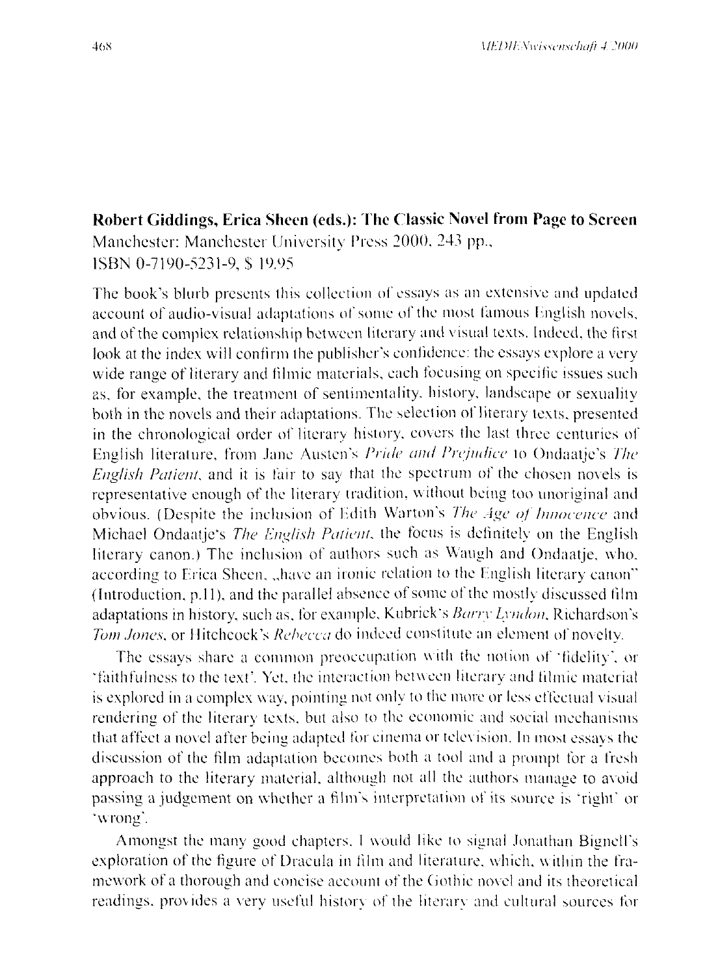## Robert Giddings, Erica Sheen (eds.): The Classic Novel from Page to Screen Manchester: Manchester University Press 2000, 243 pp., ISBN 0-7190-5231-9, \$19.95

The book's blurb presents this collection of essays as an extensive and updated account of audio-visual adaptations of some of the most famous English novels, and of the complex relationship between literary and visual texts. Indeed, the first look at the index will confirm the publisher's confidence: the essays explore a very wide range of literary and filmic materials, each focusing on specific issues such as, for example, the treatment of sentimentality, history, landscape or sexuality both in the novels and their adaptations. The selection of literary texts, presented in the chronological order of literary history, covers the last three centuries of English literature, from Jane Austen's Pride and Prejudice to Ondaatie's The English Patient, and it is fair to say that the spectrum of the chosen novels is representative enough of the literary tradition, without being too unoriginal and obvious. (Despite the inclusion of Edith Warton's The Age of Innocence and Michael Ondaatje's The English Patient, the focus is definitely on the English literary canon.) The inclusion of authors such as Waugh and Ondaatje, who, according to Erica Sheen, "have an ironic relation to the English literary canon" (Introduction, p.11), and the parallel absence of some of the mostly discussed film adaptations in history, such as, for example, Kubrick's Barry Lyndon, Richardson's Tom Jones, or Hitchcock's Rebecca do indeed constitute an element of novelty.

The essays share a common preoccupation with the notion of 'fidelity', or 'faithfulness to the text'. Yet, the interaction between literary and filmic material is explored in a complex way, pointing not only to the more or less effectual visual rendering of the literary texts, but also to the economic and social mechanisms that affect a novel after being adapted for cinema or television. In most essays the discussion of the film adaptation becomes both a tool and a prompt for a fresh approach to the literary material, although not all the authors manage to avoid passing a judgement on whether a film's interpretation of its source is 'right' or 'wrong'.

Amongst the many good chapters. I would like to signal Jonathan Bignell's exploration of the figure of Dracula in film and literature, which, within the framework of a thorough and concise account of the Gothic novel and its theoretical readings, provides a very useful history of the literary and cultural sources for